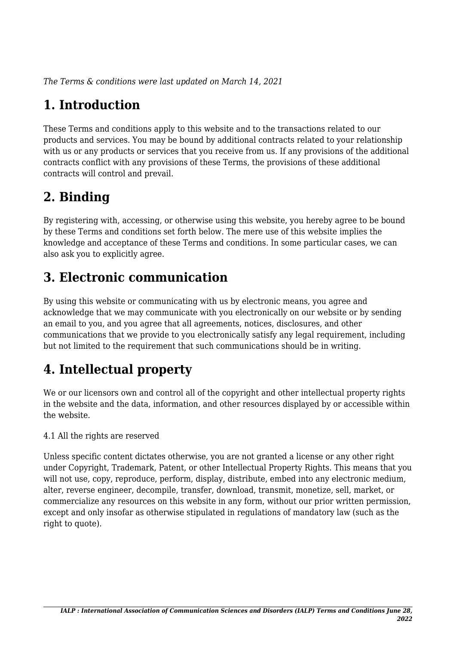*The Terms & conditions were last updated on March 14, 2021*

# **1. Introduction**

These Terms and conditions apply to this website and to the transactions related to our products and services. You may be bound by additional contracts related to your relationship with us or any products or services that you receive from us. If any provisions of the additional contracts conflict with any provisions of these Terms, the provisions of these additional contracts will control and prevail.

## **2. Binding**

By registering with, accessing, or otherwise using this website, you hereby agree to be bound by these Terms and conditions set forth below. The mere use of this website implies the knowledge and acceptance of these Terms and conditions. In some particular cases, we can also ask you to explicitly agree.

# **3. Electronic communication**

By using this website or communicating with us by electronic means, you agree and acknowledge that we may communicate with you electronically on our website or by sending an email to you, and you agree that all agreements, notices, disclosures, and other communications that we provide to you electronically satisfy any legal requirement, including but not limited to the requirement that such communications should be in writing.

# **4. Intellectual property**

We or our licensors own and control all of the copyright and other intellectual property rights in the website and the data, information, and other resources displayed by or accessible within the website.

4.1 All the rights are reserved

Unless specific content dictates otherwise, you are not granted a license or any other right under Copyright, Trademark, Patent, or other Intellectual Property Rights. This means that you will not use, copy, reproduce, perform, display, distribute, embed into any electronic medium, alter, reverse engineer, decompile, transfer, download, transmit, monetize, sell, market, or commercialize any resources on this website in any form, without our prior written permission, except and only insofar as otherwise stipulated in regulations of mandatory law (such as the right to quote).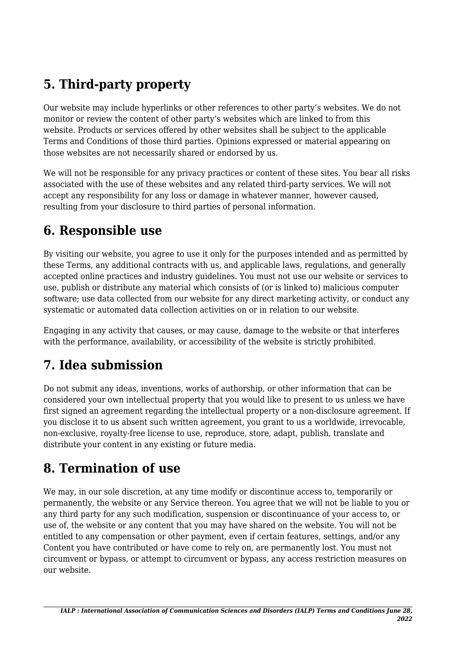# **5. Third-party property**

Our website may include hyperlinks or other references to other party's websites. We do not monitor or review the content of other party's websites which are linked to from this website. Products or services offered by other websites shall be subject to the applicable Terms and Conditions of those third parties. Opinions expressed or material appearing on those websites are not necessarily shared or endorsed by us.

We will not be responsible for any privacy practices or content of these sites. You bear all risks associated with the use of these websites and any related third-party services. We will not accept any responsibility for any loss or damage in whatever manner, however caused, resulting from your disclosure to third parties of personal information.

#### **6. Responsible use**

By visiting our website, you agree to use it only for the purposes intended and as permitted by these Terms, any additional contracts with us, and applicable laws, regulations, and generally accepted online practices and industry guidelines. You must not use our website or services to use, publish or distribute any material which consists of (or is linked to) malicious computer software; use data collected from our website for any direct marketing activity, or conduct any systematic or automated data collection activities on or in relation to our website.

Engaging in any activity that causes, or may cause, damage to the website or that interferes with the performance, availability, or accessibility of the website is strictly prohibited.

## **7. Idea submission**

Do not submit any ideas, inventions, works of authorship, or other information that can be considered your own intellectual property that you would like to present to us unless we have first signed an agreement regarding the intellectual property or a non-disclosure agreement. If you disclose it to us absent such written agreement, you grant to us a worldwide, irrevocable, non-exclusive, royalty-free license to use, reproduce, store, adapt, publish, translate and distribute your content in any existing or future media.

## **8. Termination of use**

We may, in our sole discretion, at any time modify or discontinue access to, temporarily or permanently, the website or any Service thereon. You agree that we will not be liable to you or any third party for any such modification, suspension or discontinuance of your access to, or use of, the website or any content that you may have shared on the website. You will not be entitled to any compensation or other payment, even if certain features, settings, and/or any Content you have contributed or have come to rely on, are permanently lost. You must not circumvent or bypass, or attempt to circumvent or bypass, any access restriction measures on our website.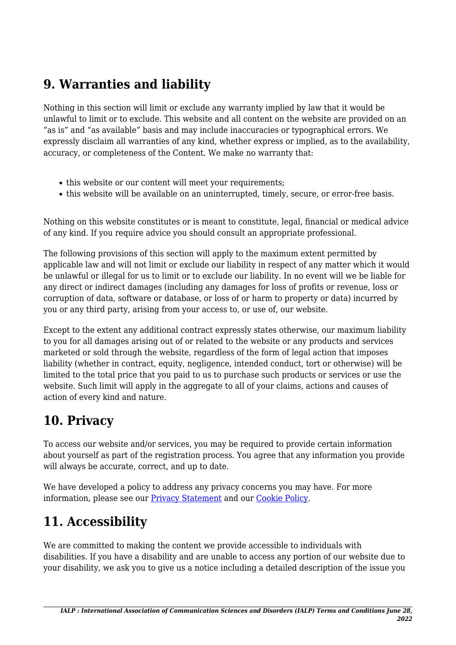## **9. Warranties and liability**

Nothing in this section will limit or exclude any warranty implied by law that it would be unlawful to limit or to exclude. This website and all content on the website are provided on an "as is" and "as available" basis and may include inaccuracies or typographical errors. We expressly disclaim all warranties of any kind, whether express or implied, as to the availability, accuracy, or completeness of the Content. We make no warranty that:

- this website or our content will meet your requirements;
- this website will be available on an uninterrupted, timely, secure, or error-free basis.

Nothing on this website constitutes or is meant to constitute, legal, financial or medical advice of any kind. If you require advice you should consult an appropriate professional.

The following provisions of this section will apply to the maximum extent permitted by applicable law and will not limit or exclude our liability in respect of any matter which it would be unlawful or illegal for us to limit or to exclude our liability. In no event will we be liable for any direct or indirect damages (including any damages for loss of profits or revenue, loss or corruption of data, software or database, or loss of or harm to property or data) incurred by you or any third party, arising from your access to, or use of, our website.

Except to the extent any additional contract expressly states otherwise, our maximum liability to you for all damages arising out of or related to the website or any products and services marketed or sold through the website, regardless of the form of legal action that imposes liability (whether in contract, equity, negligence, intended conduct, tort or otherwise) will be limited to the total price that you paid to us to purchase such products or services or use the website. Such limit will apply in the aggregate to all of your claims, actions and causes of action of every kind and nature.

## **10. Privacy**

To access our website and/or services, you may be required to provide certain information about yourself as part of the registration process. You agree that any information you provide will always be accurate, correct, and up to date.

We have developed a policy to address any privacy concerns you may have. For more information, please see our **Privacy Statement** and our [Cookie Policy](https://ialpasoc.info/privacy-policy/).

# **11. Accessibility**

We are committed to making the content we provide accessible to individuals with disabilities. If you have a disability and are unable to access any portion of our website due to your disability, we ask you to give us a notice including a detailed description of the issue you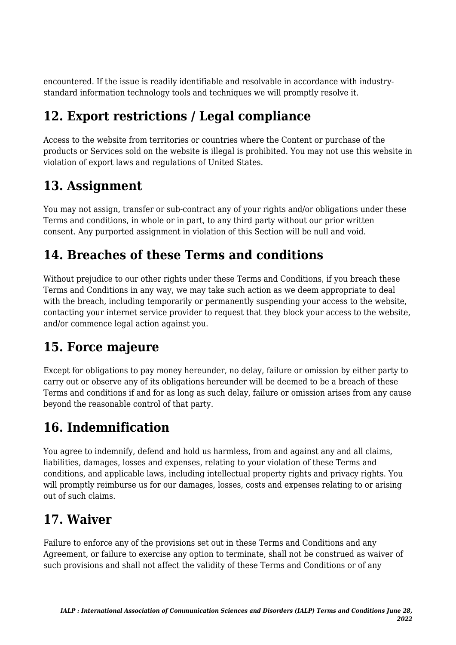encountered. If the issue is readily identifiable and resolvable in accordance with industrystandard information technology tools and techniques we will promptly resolve it.

# **12. Export restrictions / Legal compliance**

Access to the website from territories or countries where the Content or purchase of the products or Services sold on the website is illegal is prohibited. You may not use this website in violation of export laws and regulations of United States.

## **13. Assignment**

You may not assign, transfer or sub-contract any of your rights and/or obligations under these Terms and conditions, in whole or in part, to any third party without our prior written consent. Any purported assignment in violation of this Section will be null and void.

## **14. Breaches of these Terms and conditions**

Without prejudice to our other rights under these Terms and Conditions, if you breach these Terms and Conditions in any way, we may take such action as we deem appropriate to deal with the breach, including temporarily or permanently suspending your access to the website, contacting your internet service provider to request that they block your access to the website, and/or commence legal action against you.

# **15. Force majeure**

Except for obligations to pay money hereunder, no delay, failure or omission by either party to carry out or observe any of its obligations hereunder will be deemed to be a breach of these Terms and conditions if and for as long as such delay, failure or omission arises from any cause beyond the reasonable control of that party.

# **16. Indemnification**

You agree to indemnify, defend and hold us harmless, from and against any and all claims, liabilities, damages, losses and expenses, relating to your violation of these Terms and conditions, and applicable laws, including intellectual property rights and privacy rights. You will promptly reimburse us for our damages, losses, costs and expenses relating to or arising out of such claims.

## **17. Waiver**

Failure to enforce any of the provisions set out in these Terms and Conditions and any Agreement, or failure to exercise any option to terminate, shall not be construed as waiver of such provisions and shall not affect the validity of these Terms and Conditions or of any